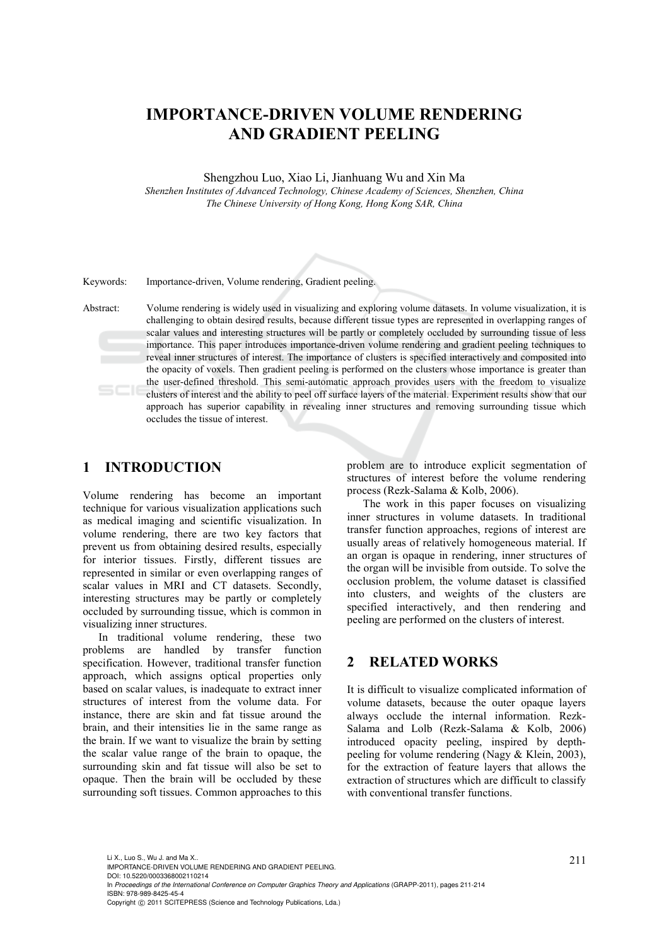# **IMPORTANCE-DRIVEN VOLUME RENDERING AND GRADIENT PEELING**

Shengzhou Luo, Xiao Li, Jianhuang Wu and Xin Ma

*Shenzhen Institutes of Advanced Technology, Chinese Academy of Sciences, Shenzhen, China The Chinese University of Hong Kong, Hong Kong SAR, China* 

Keywords: Importance-driven, Volume rendering, Gradient peeling.

Abstract: Volume rendering is widely used in visualizing and exploring volume datasets. In volume visualization, it is challenging to obtain desired results, because different tissue types are represented in overlapping ranges of scalar values and interesting structures will be partly or completely occluded by surrounding tissue of less importance. This paper introduces importance-driven volume rendering and gradient peeling techniques to reveal inner structures of interest. The importance of clusters is specified interactively and composited into the opacity of voxels. Then gradient peeling is performed on the clusters whose importance is greater than the user-defined threshold. This semi-automatic approach provides users with the freedom to visualize clusters of interest and the ability to peel off surface layers of the material. Experiment results show that our approach has superior capability in revealing inner structures and removing surrounding tissue which occludes the tissue of interest.

### **1 INTRODUCTION**

Volume rendering has become an important technique for various visualization applications such as medical imaging and scientific visualization. In volume rendering, there are two key factors that prevent us from obtaining desired results, especially for interior tissues. Firstly, different tissues are represented in similar or even overlapping ranges of scalar values in MRI and CT datasets. Secondly, interesting structures may be partly or completely occluded by surrounding tissue, which is common in visualizing inner structures.

In traditional volume rendering, these two problems are handled by transfer function specification. However, traditional transfer function approach, which assigns optical properties only based on scalar values, is inadequate to extract inner structures of interest from the volume data. For instance, there are skin and fat tissue around the brain, and their intensities lie in the same range as the brain. If we want to visualize the brain by setting the scalar value range of the brain to opaque, the surrounding skin and fat tissue will also be set to opaque. Then the brain will be occluded by these surrounding soft tissues. Common approaches to this problem are to introduce explicit segmentation of structures of interest before the volume rendering process (Rezk-Salama & Kolb, 2006).

The work in this paper focuses on visualizing inner structures in volume datasets. In traditional transfer function approaches, regions of interest are usually areas of relatively homogeneous material. If an organ is opaque in rendering, inner structures of the organ will be invisible from outside. To solve the occlusion problem, the volume dataset is classified into clusters, and weights of the clusters are specified interactively, and then rendering and peeling are performed on the clusters of interest.

### **2 RELATED WORKS**

It is difficult to visualize complicated information of volume datasets, because the outer opaque layers always occlude the internal information. Rezk-Salama and Lolb (Rezk-Salama & Kolb, 2006) introduced opacity peeling, inspired by depthpeeling for volume rendering (Nagy & Klein, 2003), for the extraction of feature layers that allows the extraction of structures which are difficult to classify with conventional transfer functions.

211 Li X., Luo S., Wu J. and Ma X.. IMPORTANCE-DRIVEN VOLUME RENDERING AND GRADIENT PEELING. DOI: 10.5220/0003368002110214 In *Proceedings of the International Conference on Computer Graphics Theory and Applications* (GRAPP-2011), pages 211-214 ISBN: 978-989-8425-45-4 Copyright © 2011 SCITEPRESS (Science and Technology Publications, Lda.)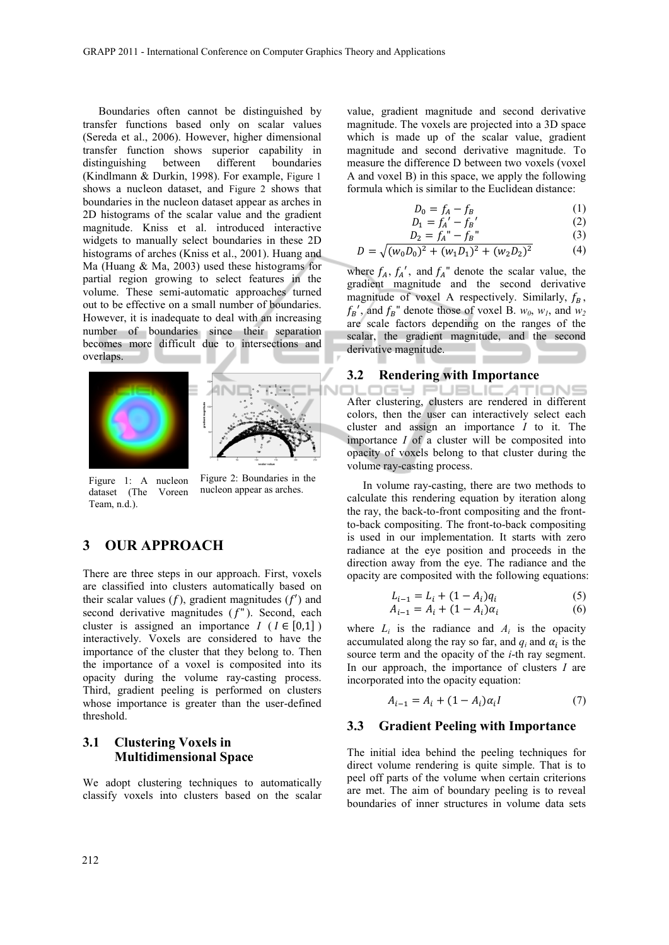Boundaries often cannot be distinguished by transfer functions based only on scalar values (Sereda et al., 2006). However, higher dimensional transfer function shows superior capability in distinguishing between different boundaries (Kindlmann & Durkin, 1998). For example, Figure 1 shows a nucleon dataset, and Figure 2 shows that boundaries in the nucleon dataset appear as arches in 2D histograms of the scalar value and the gradient magnitude. Kniss et al. introduced interactive widgets to manually select boundaries in these 2D histograms of arches (Kniss et al., 2001). Huang and Ma (Huang & Ma, 2003) used these histograms for partial region growing to select features in the volume. These semi-automatic approaches turned out to be effective on a small number of boundaries. However, it is inadequate to deal with an increasing number of boundaries since their separation becomes more difficult due to intersections and overlaps.





Figure 1: A nucleon dataset (The Voreen Team, n.d.).

Figure 2: Boundaries in the nucleon appear as arches.

## **3 OUR APPROACH**

There are three steps in our approach. First, voxels are classified into clusters automatically based on their scalar values  $(f)$ , gradient magnitudes  $(f')$  and second derivative magnitudes  $(f'')$ . Second, each cluster is assigned an importance  $I$  ( $I \in [0,1]$ ) interactively. Voxels are considered to have the importance of the cluster that they belong to. Then the importance of a voxel is composited into its opacity during the volume ray-casting process. Third, gradient peeling is performed on clusters whose importance is greater than the user-defined threshold.

### **3.1 Clustering Voxels in Multidimensional Space**

We adopt clustering techniques to automatically classify voxels into clusters based on the scalar

value, gradient magnitude and second derivative magnitude. The voxels are projected into a 3D space which is made up of the scalar value, gradient magnitude and second derivative magnitude. To measure the difference D between two voxels (voxel A and voxel B) in this space, we apply the following formula which is similar to the Euclidean distance:

$$
D_0 = f_A - f_B \tag{1}
$$

$$
D_1 = f_A' - f_B'
$$
\n
$$
D = f'' - f''
$$
\n(2)

$$
D = \sqrt{(w_0 D_0)^2 + (w_1 D_1)^2 + (w_2 D_2)^2}
$$
 (3)

where  $f_A$ ,  $f_A'$ , and  $f_A''$  denote the scalar value, the gradient magnitude and the second derivative magnitude of voxel A respectively. Similarly,  $f_B$ ,  $f_B'$ , and  $f_B''$  denote those of voxel B.  $w_0$ ,  $w_1$ , and  $w_2$ are scale factors depending on the ranges of the scalar, the gradient magnitude, and the second derivative magnitude.

#### **3.2 Rendering with Importance**

**IGY PUBLICATIONS** After clustering, clusters are rendered in different colors, then the user can interactively select each cluster and assign an importance *I* to it. The importance *I* of a cluster will be composited into opacity of voxels belong to that cluster during the volume ray-casting process.

In volume ray-casting, there are two methods to calculate this rendering equation by iteration along the ray, the back-to-front compositing and the frontto-back compositing. The front-to-back compositing is used in our implementation. It starts with zero radiance at the eye position and proceeds in the direction away from the eye. The radiance and the opacity are composited with the following equations:

$$
L_{i-1} = L_i + (1 - A_i)q_i \tag{5}
$$

$$
A_{i-1} = A_i + (1 - A_i)\alpha_i \tag{6}
$$

where  $L_i$  is the radiance and  $A_i$  is the opacity accumulated along the ray so far, and  $q_i$  and  $\alpha_i$  is the source term and the opacity of the *i*-th ray segment. In our approach, the importance of clusters *I* are incorporated into the opacity equation:

$$
A_{i-1} = A_i + (1 - A_i)\alpha_i I \tag{7}
$$

#### **3.3 Gradient Peeling with Importance**

The initial idea behind the peeling techniques for direct volume rendering is quite simple. That is to peel off parts of the volume when certain criterions are met. The aim of boundary peeling is to reveal boundaries of inner structures in volume data sets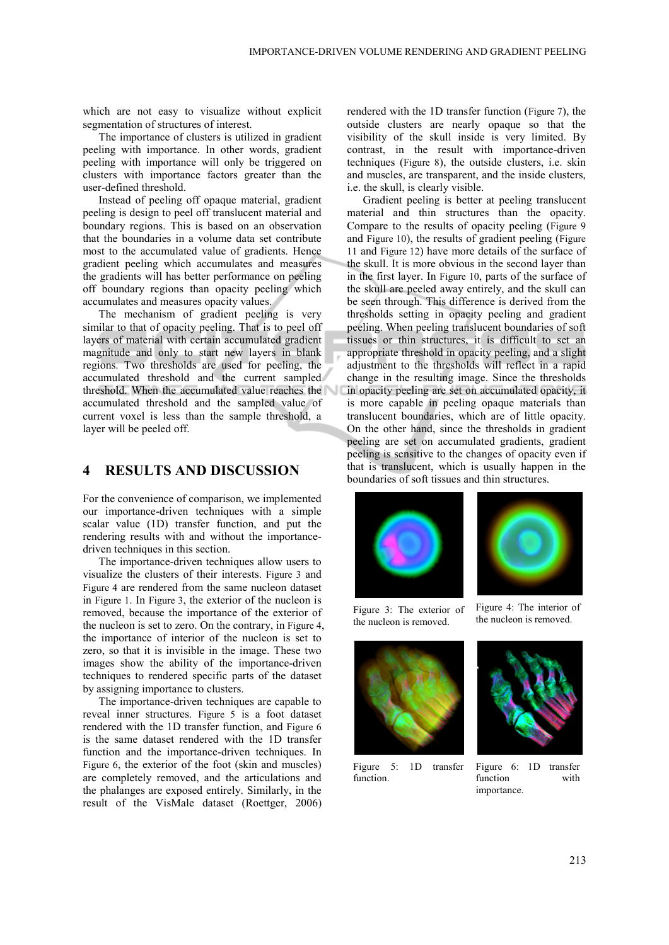which are not easy to visualize without explicit segmentation of structures of interest.

The importance of clusters is utilized in gradient peeling with importance. In other words, gradient peeling with importance will only be triggered on clusters with importance factors greater than the user-defined threshold.

Instead of peeling off opaque material, gradient peeling is design to peel off translucent material and boundary regions. This is based on an observation that the boundaries in a volume data set contribute most to the accumulated value of gradients. Hence gradient peeling which accumulates and measures the gradients will has better performance on peeling off boundary regions than opacity peeling which accumulates and measures opacity values.

The mechanism of gradient peeling is very similar to that of opacity peeling. That is to peel off layers of material with certain accumulated gradient magnitude and only to start new layers in blank regions. Two thresholds are used for peeling, the accumulated threshold and the current sampled threshold. When the accumulated value reaches the accumulated threshold and the sampled value of current voxel is less than the sample threshold, a layer will be peeled off.

### **4 RESULTS AND DISCUSSION**

For the convenience of comparison, we implemented our importance-driven techniques with a simple scalar value (1D) transfer function, and put the rendering results with and without the importancedriven techniques in this section.

The importance-driven techniques allow users to visualize the clusters of their interests. Figure 3 and Figure 4 are rendered from the same nucleon dataset in Figure 1. In Figure 3, the exterior of the nucleon is removed, because the importance of the exterior of the nucleon is set to zero. On the contrary, in Figure 4, the importance of interior of the nucleon is set to zero, so that it is invisible in the image. These two images show the ability of the importance-driven techniques to rendered specific parts of the dataset by assigning importance to clusters.

The importance-driven techniques are capable to reveal inner structures. Figure 5 is a foot dataset rendered with the 1D transfer function, and Figure 6 is the same dataset rendered with the 1D transfer function and the importance-driven techniques. In Figure 6, the exterior of the foot (skin and muscles) are completely removed, and the articulations and the phalanges are exposed entirely. Similarly, in the result of the VisMale dataset (Roettger, 2006) rendered with the 1D transfer function (Figure 7), the outside clusters are nearly opaque so that the visibility of the skull inside is very limited. By contrast, in the result with importance-driven techniques (Figure 8), the outside clusters, i.e. skin and muscles, are transparent, and the inside clusters, i.e. the skull, is clearly visible.

Gradient peeling is better at peeling translucent material and thin structures than the opacity. Compare to the results of opacity peeling (Figure 9 and Figure 10), the results of gradient peeling (Figure 11 and Figure 12) have more details of the surface of the skull. It is more obvious in the second layer than in the first layer. In Figure 10, parts of the surface of the skull are peeled away entirely, and the skull can be seen through. This difference is derived from the thresholds setting in opacity peeling and gradient peeling. When peeling translucent boundaries of soft tissues or thin structures, it is difficult to set an appropriate threshold in opacity peeling, and a slight adjustment to the thresholds will reflect in a rapid change in the resulting image. Since the thresholds in opacity peeling are set on accumulated opacity, it is more capable in peeling opaque materials than translucent boundaries, which are of little opacity. On the other hand, since the thresholds in gradient peeling are set on accumulated gradients, gradient peeling is sensitive to the changes of opacity even if that is translucent, which is usually happen in the boundaries of soft tissues and thin structures.





Figure 3: The exterior of the nucleon is removed.

Figure 4: The interior of the nucleon is removed.



Figure 5: 1D transfer function.



Figure 6: 1D transfer function with importance.